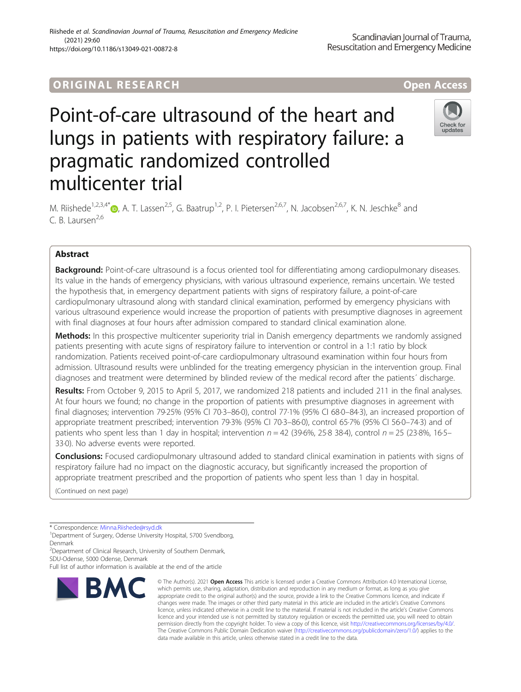## Riishede et al. Scandinavian Journal of Trauma, Resuscitation and Emergency Medicine (2021) 29:60 https://doi.org/10.1186/s13049-021-00872-8

# Point-of-care ultrasound of the heart and lungs in patients with respiratory failure: a pragmatic randomized controlled multicenter trial



M. Riishede<sup>1,2,3,4[\\*](http://orcid.org/0000-0002-5785-3317)</sup> <sub>(b</sub>, A. T. Lassen<sup>2,5</sup>, G. Baatrup<sup>1,2</sup>, P. I. Pietersen<sup>2,6,7</sup>, N. Jacobsen<sup>2,6,7</sup>, K. N. Jeschke<sup>8</sup> and  $C$ . B. Laursen<sup>2,6</sup>

## Abstract

**Background:** Point-of-care ultrasound is a focus oriented tool for differentiating among cardiopulmonary diseases. Its value in the hands of emergency physicians, with various ultrasound experience, remains uncertain. We tested the hypothesis that, in emergency department patients with signs of respiratory failure, a point-of-care cardiopulmonary ultrasound along with standard clinical examination, performed by emergency physicians with various ultrasound experience would increase the proportion of patients with presumptive diagnoses in agreement with final diagnoses at four hours after admission compared to standard clinical examination alone.

Methods: In this prospective multicenter superiority trial in Danish emergency departments we randomly assigned patients presenting with acute signs of respiratory failure to intervention or control in a 1:1 ratio by block randomization. Patients received point-of-care cardiopulmonary ultrasound examination within four hours from admission. Ultrasound results were unblinded for the treating emergency physician in the intervention group. Final diagnoses and treatment were determined by blinded review of the medical record after the patients´ discharge.

Results: From October 9, 2015 to April 5, 2017, we randomized 218 patients and included 211 in the final analyses. At four hours we found; no change in the proportion of patients with presumptive diagnoses in agreement with final diagnoses; intervention 79·25% (95% CI 70·3–86·0), control 77·1% (95% CI 68·0–84·3), an increased proportion of appropriate treatment prescribed; intervention 79·3% (95% CI 70·3–86·0), control 65·7% (95% CI 56·0–74·3) and of patients who spent less than 1 day in hospital; intervention  $n = 42$  (39.6%, 25.8 38.4), control  $n = 25$  (23.8%, 16.5– 33·0). No adverse events were reported.

**Conclusions:** Focused cardiopulmonary ultrasound added to standard clinical examination in patients with signs of respiratory failure had no impact on the diagnostic accuracy, but significantly increased the proportion of appropriate treatment prescribed and the proportion of patients who spent less than 1 day in hospital.

(Continued on next page)

\* Correspondence: [Minna.Riishede@rsyd.dk](mailto:Minna.Riishede@rsyd.dk) <sup>1</sup>

<sup>1</sup>Department of Surgery, Odense University Hospital, 5700 Svendborg, Denmark

<sup>2</sup> Department of Clinical Research, University of Southern Denmark, SDU-Odense, 5000 Odense, Denmark

Full list of author information is available at the end of the article



<sup>©</sup> The Author(s), 2021 **Open Access** This article is licensed under a Creative Commons Attribution 4.0 International License, which permits use, sharing, adaptation, distribution and reproduction in any medium or format, as long as you give appropriate credit to the original author(s) and the source, provide a link to the Creative Commons licence, and indicate if changes were made. The images or other third party material in this article are included in the article's Creative Commons licence, unless indicated otherwise in a credit line to the material. If material is not included in the article's Creative Commons licence and your intended use is not permitted by statutory regulation or exceeds the permitted use, you will need to obtain permission directly from the copyright holder. To view a copy of this licence, visit [http://creativecommons.org/licenses/by/4.0/.](http://creativecommons.org/licenses/by/4.0/) The Creative Commons Public Domain Dedication waiver [\(http://creativecommons.org/publicdomain/zero/1.0/](http://creativecommons.org/publicdomain/zero/1.0/)) applies to the data made available in this article, unless otherwise stated in a credit line to the data.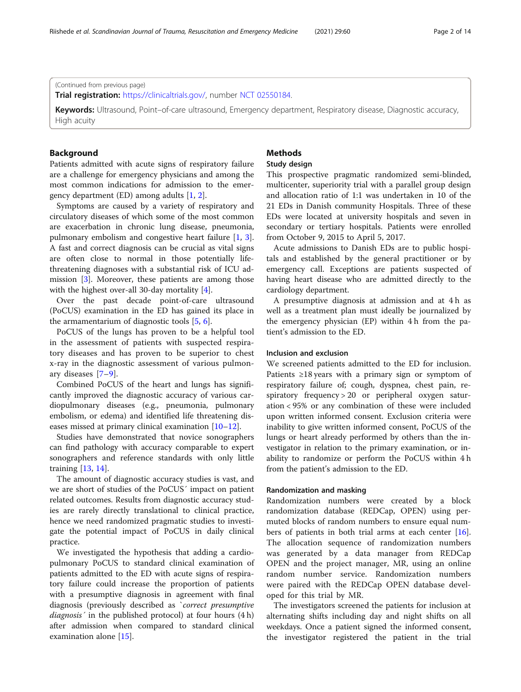## (Continued from previous page)

Trial registration: [https://clinicaltrials.gov/,](https://clinicaltrials.gov/) number [NCT 02550184](https://register.clinicaltrials.gov/).

Keywords: Ultrasound, Point–of-care ultrasound, Emergency department, Respiratory disease, Diagnostic accuracy, High acuity

## Background

Patients admitted with acute signs of respiratory failure are a challenge for emergency physicians and among the most common indications for admission to the emergency department (ED) among adults [\[1](#page-13-0), [2](#page-13-0)].

Symptoms are caused by a variety of respiratory and circulatory diseases of which some of the most common are exacerbation in chronic lung disease, pneumonia, pulmonary embolism and congestive heart failure [[1,](#page-13-0) [3](#page-13-0)]. A fast and correct diagnosis can be crucial as vital signs are often close to normal in those potentially lifethreatening diagnoses with a substantial risk of ICU admission [[3\]](#page-13-0). Moreover, these patients are among those with the highest over-all 30-day mortality [[4\]](#page-13-0).

Over the past decade point-of-care ultrasound (PoCUS) examination in the ED has gained its place in the armamentarium of diagnostic tools [\[5](#page-13-0), [6](#page-13-0)].

PoCUS of the lungs has proven to be a helpful tool in the assessment of patients with suspected respiratory diseases and has proven to be superior to chest x-ray in the diagnostic assessment of various pulmonary diseases [[7](#page-13-0)–[9\]](#page-13-0).

Combined PoCUS of the heart and lungs has significantly improved the diagnostic accuracy of various cardiopulmonary diseases (e.g., pneumonia, pulmonary embolism, or edema) and identified life threatening diseases missed at primary clinical examination [\[10](#page-13-0)–[12\]](#page-13-0).

Studies have demonstrated that novice sonographers can find pathology with accuracy comparable to expert sonographers and reference standards with only little training [[13,](#page-13-0) [14](#page-13-0)].

The amount of diagnostic accuracy studies is vast, and we are short of studies of the PoCUS´ impact on patient related outcomes. Results from diagnostic accuracy studies are rarely directly translational to clinical practice, hence we need randomized pragmatic studies to investigate the potential impact of PoCUS in daily clinical practice.

We investigated the hypothesis that adding a cardiopulmonary PoCUS to standard clinical examination of patients admitted to the ED with acute signs of respiratory failure could increase the proportion of patients with a presumptive diagnosis in agreement with final diagnosis (previously described as `correct presumptive diagnosis' in the published protocol) at four hours (4 h) after admission when compared to standard clinical examination alone [\[15\]](#page-13-0).

## **Methods**

## Study design

This prospective pragmatic randomized semi-blinded, multicenter, superiority trial with a parallel group design and allocation ratio of 1:1 was undertaken in 10 of the 21 EDs in Danish community Hospitals. Three of these EDs were located at university hospitals and seven in secondary or tertiary hospitals. Patients were enrolled from October 9, 2015 to April 5, 2017.

Acute admissions to Danish EDs are to public hospitals and established by the general practitioner or by emergency call. Exceptions are patients suspected of having heart disease who are admitted directly to the cardiology department.

A presumptive diagnosis at admission and at 4 h as well as a treatment plan must ideally be journalized by the emergency physician (EP) within 4 h from the patient's admission to the ED.

## Inclusion and exclusion

We screened patients admitted to the ED for inclusion. Patients ≥18 years with a primary sign or symptom of respiratory failure of; cough, dyspnea, chest pain, respiratory frequency > 20 or peripheral oxygen saturation < 95% or any combination of these were included upon written informed consent. Exclusion criteria were inability to give written informed consent, PoCUS of the lungs or heart already performed by others than the investigator in relation to the primary examination, or inability to randomize or perform the PoCUS within 4 h from the patient's admission to the ED.

### Randomization and masking

Randomization numbers were created by a block randomization database (REDCap, OPEN) using permuted blocks of random numbers to ensure equal numbers of patients in both trial arms at each center  $[16]$  $[16]$ . The allocation sequence of randomization numbers was generated by a data manager from REDCap OPEN and the project manager, MR, using an online random number service. Randomization numbers were paired with the REDCap OPEN database developed for this trial by MR.

The investigators screened the patients for inclusion at alternating shifts including day and night shifts on all weekdays. Once a patient signed the informed consent, the investigator registered the patient in the trial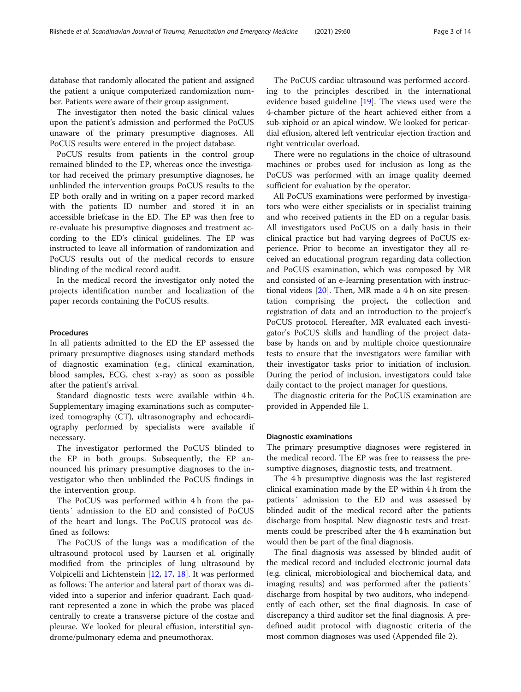database that randomly allocated the patient and assigned the patient a unique computerized randomization number. Patients were aware of their group assignment.

The investigator then noted the basic clinical values upon the patient's admission and performed the PoCUS unaware of the primary presumptive diagnoses. All PoCUS results were entered in the project database.

PoCUS results from patients in the control group remained blinded to the EP, whereas once the investigator had received the primary presumptive diagnoses, he unblinded the intervention groups PoCUS results to the EP both orally and in writing on a paper record marked with the patients ID number and stored it in an accessible briefcase in the ED. The EP was then free to re-evaluate his presumptive diagnoses and treatment according to the ED's clinical guidelines. The EP was instructed to leave all information of randomization and PoCUS results out of the medical records to ensure blinding of the medical record audit.

In the medical record the investigator only noted the projects identification number and localization of the paper records containing the PoCUS results.

## Procedures

In all patients admitted to the ED the EP assessed the primary presumptive diagnoses using standard methods of diagnostic examination (e.g., clinical examination, blood samples, ECG, chest x-ray) as soon as possible after the patient's arrival.

Standard diagnostic tests were available within 4 h. Supplementary imaging examinations such as computerized tomography (CT), ultrasonography and echocardiography performed by specialists were available if necessary.

The investigator performed the PoCUS blinded to the EP in both groups. Subsequently, the EP announced his primary presumptive diagnoses to the investigator who then unblinded the PoCUS findings in the intervention group.

The PoCUS was performed within 4 h from the patients´ admission to the ED and consisted of PoCUS of the heart and lungs. The PoCUS protocol was defined as follows:

The PoCUS of the lungs was a modification of the ultrasound protocol used by Laursen et al. originally modified from the principles of lung ultrasound by Volpicelli and Lichtenstein [[12](#page-13-0), [17](#page-13-0), [18](#page-13-0)]. It was performed as follows: The anterior and lateral part of thorax was divided into a superior and inferior quadrant. Each quadrant represented a zone in which the probe was placed centrally to create a transverse picture of the costae and pleurae. We looked for pleural effusion, interstitial syndrome/pulmonary edema and pneumothorax.

The PoCUS cardiac ultrasound was performed according to the principles described in the international evidence based guideline [[19\]](#page-13-0). The views used were the 4-chamber picture of the heart achieved either from a sub-xiphoid or an apical window. We looked for pericardial effusion, altered left ventricular ejection fraction and right ventricular overload.

There were no regulations in the choice of ultrasound machines or probes used for inclusion as long as the PoCUS was performed with an image quality deemed sufficient for evaluation by the operator.

All PoCUS examinations were performed by investigators who were either specialists or in specialist training and who received patients in the ED on a regular basis. All investigators used PoCUS on a daily basis in their clinical practice but had varying degrees of PoCUS experience. Prior to become an investigator they all received an educational program regarding data collection and PoCUS examination, which was composed by MR and consisted of an e-learning presentation with instructional videos [[20](#page-13-0)]. Then, MR made a 4 h on site presentation comprising the project, the collection and registration of data and an introduction to the project's PoCUS protocol. Hereafter, MR evaluated each investigator's PoCUS skills and handling of the project database by hands on and by multiple choice questionnaire tests to ensure that the investigators were familiar with their investigator tasks prior to initiation of inclusion. During the period of inclusion, investigators could take daily contact to the project manager for questions.

The diagnostic criteria for the PoCUS examination are provided in Appended file 1.

#### Diagnostic examinations

The primary presumptive diagnoses were registered in the medical record. The EP was free to reassess the presumptive diagnoses, diagnostic tests, and treatment.

The 4 h presumptive diagnosis was the last registered clinical examination made by the EP within 4 h from the patients´ admission to the ED and was assessed by blinded audit of the medical record after the patients discharge from hospital. New diagnostic tests and treatments could be prescribed after the 4 h examination but would then be part of the final diagnosis.

The final diagnosis was assessed by blinded audit of the medical record and included electronic journal data (e.g. clinical, microbiological and biochemical data, and imaging results) and was performed after the patients´ discharge from hospital by two auditors, who independently of each other, set the final diagnosis. In case of discrepancy a third auditor set the final diagnosis. A predefined audit protocol with diagnostic criteria of the most common diagnoses was used (Appended file 2).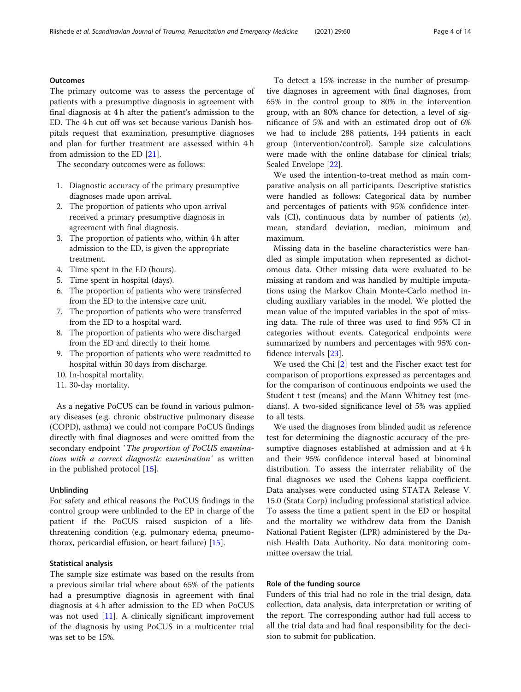## **Outcomes**

The primary outcome was to assess the percentage of patients with a presumptive diagnosis in agreement with final diagnosis at 4 h after the patient's admission to the ED. The 4 h cut off was set because various Danish hospitals request that examination, presumptive diagnoses and plan for further treatment are assessed within 4 h from admission to the ED [\[21](#page-13-0)].

The secondary outcomes were as follows:

- 1. Diagnostic accuracy of the primary presumptive diagnoses made upon arrival.
- 2. The proportion of patients who upon arrival received a primary presumptive diagnosis in agreement with final diagnosis.
- 3. The proportion of patients who, within 4 h after admission to the ED, is given the appropriate treatment.
- 4. Time spent in the ED (hours).
- 5. Time spent in hospital (days).
- 6. The proportion of patients who were transferred from the ED to the intensive care unit.
- 7. The proportion of patients who were transferred from the ED to a hospital ward.
- 8. The proportion of patients who were discharged from the ED and directly to their home.
- 9. The proportion of patients who were readmitted to hospital within 30 days from discharge.
- 10. In-hospital mortality.
- 11. 30-day mortality.

As a negative PoCUS can be found in various pulmonary diseases (e.g. chronic obstructive pulmonary disease (COPD), asthma) we could not compare PoCUS findings directly with final diagnoses and were omitted from the secondary endpoint 'The proportion of PoCUS examinations with a correct diagnostic examination´ as written in the published protocol [\[15](#page-13-0)].

## Unblinding

For safety and ethical reasons the PoCUS findings in the control group were unblinded to the EP in charge of the patient if the PoCUS raised suspicion of a lifethreatening condition (e.g. pulmonary edema, pneumothorax, pericardial effusion, or heart failure) [\[15](#page-13-0)].

## Statistical analysis

The sample size estimate was based on the results from a previous similar trial where about 65% of the patients had a presumptive diagnosis in agreement with final diagnosis at 4 h after admission to the ED when PoCUS was not used [[11](#page-13-0)]. A clinically significant improvement of the diagnosis by using PoCUS in a multicenter trial was set to be 15%.

To detect a 15% increase in the number of presumptive diagnoses in agreement with final diagnoses, from 65% in the control group to 80% in the intervention group, with an 80% chance for detection, a level of significance of 5% and with an estimated drop out of 6% we had to include 288 patients, 144 patients in each group (intervention/control). Sample size calculations were made with the online database for clinical trials; Sealed Envelope [[22\]](#page-13-0).

We used the intention-to-treat method as main comparative analysis on all participants. Descriptive statistics were handled as follows: Categorical data by number and percentages of patients with 95% confidence intervals (CI), continuous data by number of patients  $(n)$ , mean, standard deviation, median, minimum and maximum.

Missing data in the baseline characteristics were handled as simple imputation when represented as dichotomous data. Other missing data were evaluated to be missing at random and was handled by multiple imputations using the Markov Chain Monte-Carlo method including auxiliary variables in the model. We plotted the mean value of the imputed variables in the spot of missing data. The rule of three was used to find 95% CI in categories without events. Categorical endpoints were summarized by numbers and percentages with 95% confidence intervals [\[23](#page-13-0)].

We used the Chi [\[2](#page-13-0)] test and the Fischer exact test for comparison of proportions expressed as percentages and for the comparison of continuous endpoints we used the Student t test (means) and the Mann Whitney test (medians). A two-sided significance level of 5% was applied to all tests.

We used the diagnoses from blinded audit as reference test for determining the diagnostic accuracy of the presumptive diagnoses established at admission and at 4 h and their 95% confidence interval based at binominal distribution. To assess the interrater reliability of the final diagnoses we used the Cohens kappa coefficient. Data analyses were conducted using STATA Release V. 15.0 (Stata Corp) including professional statistical advice. To assess the time a patient spent in the ED or hospital and the mortality we withdrew data from the Danish National Patient Register (LPR) administered by the Danish Health Data Authority. No data monitoring committee oversaw the trial.

## Role of the funding source

Funders of this trial had no role in the trial design, data collection, data analysis, data interpretation or writing of the report. The corresponding author had full access to all the trial data and had final responsibility for the decision to submit for publication.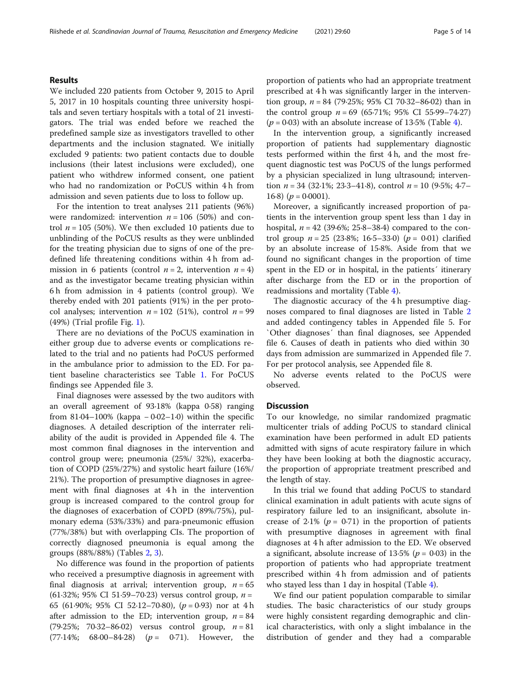## Results

We included 220 patients from October 9, 2015 to April 5, 2017 in 10 hospitals counting three university hospitals and seven tertiary hospitals with a total of 21 investigators. The trial was ended before we reached the predefined sample size as investigators travelled to other departments and the inclusion stagnated. We initially excluded 9 patients: two patient contacts due to double inclusions (their latest inclusions were excluded), one patient who withdrew informed consent, one patient who had no randomization or PoCUS within 4 h from admission and seven patients due to loss to follow up.

For the intention to treat analyses 211 patients (96%) were randomized: intervention  $n = 106$  (50%) and control  $n = 105$  (50%). We then excluded 10 patients due to unblinding of the PoCUS results as they were unblinded for the treating physician due to signs of one of the predefined life threatening conditions within 4 h from admission in 6 patients (control  $n = 2$ , intervention  $n = 4$ ) and as the investigator became treating physician within 6 h from admission in 4 patients (control group). We thereby ended with 201 patients (91%) in the per protocol analyses; intervention  $n = 102$  (51%), control  $n = 99$ (49%) (Trial profile Fig. [1](#page-5-0)).

There are no deviations of the PoCUS examination in either group due to adverse events or complications related to the trial and no patients had PoCUS performed in the ambulance prior to admission to the ED. For patient baseline characteristics see Table [1](#page-6-0). For PoCUS findings see Appended file 3.

Final diagnoses were assessed by the two auditors with an overall agreement of 93·18% (kappa 0·58) ranging from 81 $\cdot$ 04–100% (kappa – 0 $\cdot$ 02–1 $\cdot$ 0) within the specific diagnoses. A detailed description of the interrater reliability of the audit is provided in Appended file 4. The most common final diagnoses in the intervention and control group were; pneumonia (25%/ 32%), exacerbation of COPD (25%/27%) and systolic heart failure (16%/ 21%). The proportion of presumptive diagnoses in agreement with final diagnoses at 4h in the intervention group is increased compared to the control group for the diagnoses of exacerbation of COPD (89%/75%), pulmonary edema (53%/33%) and para-pneumonic effusion (77%/38%) but with overlapping CIs. The proportion of correctly diagnosed pneumonia is equal among the groups (88%/88%) (Tables [2](#page-8-0), [3](#page-9-0)).

No difference was found in the proportion of patients who received a presumptive diagnosis in agreement with final diagnosis at arrival; intervention group,  $n = 65$ (61.32%; 95% CI 51.59–70.23) versus control group,  $n =$ 65 (61.90%; 95% CI 52.12–70.80),  $(p = 0.93)$  nor at 4 h after admission to the ED; intervention group,  $n = 84$ (79.25%; 70.32–86.02) versus control group,  $n = 81$  $(77.14\%; 68.00-84.28)$   $(p = 0.71)$ . However, the proportion of patients who had an appropriate treatment prescribed at 4 h was significantly larger in the intervention group,  $n = 84$  (79.25%; 95% CI 70.32–86.02) than in the control group  $n = 69$  (65.71%; 95% CI 55.99–74.27)  $(p = 0.03)$  with an absolute increase of 13.5% (Table [4](#page-10-0)).

In the intervention group, a significantly increased proportion of patients had supplementary diagnostic tests performed within the first 4 h, and the most frequent diagnostic test was PoCUS of the lungs performed by a physician specialized in lung ultrasound; intervention  $n = 34$  (32.1%; 23.3–41.8), control  $n = 10$  (9.5%; 4.7– 16·8)  $(p = 0.0001)$ .

Moreover, a significantly increased proportion of patients in the intervention group spent less than 1 day in hospital,  $n = 42$  (39.6%; 25.8–38.4) compared to the control group  $n = 25$  (23.8%; 16.5–33.0) ( $p = 0.01$ ) clarified by an absolute increase of 15·8%. Aside from that we found no significant changes in the proportion of time spent in the ED or in hospital, in the patients´ itinerary after discharge from the ED or in the proportion of readmissions and mortality (Table [4\)](#page-10-0).

The diagnostic accuracy of the 4 h presumptive diagnoses compared to final diagnoses are listed in Table [2](#page-8-0) and added contingency tables in Appended file 5. For `Other diagnoses´ than final diagnoses, see Appended file 6. Causes of death in patients who died within 30 days from admission are summarized in Appended file 7. For per protocol analysis, see Appended file 8.

No adverse events related to the PoCUS were observed.

## **Discussion**

To our knowledge, no similar randomized pragmatic multicenter trials of adding PoCUS to standard clinical examination have been performed in adult ED patients admitted with signs of acute respiratory failure in which they have been looking at both the diagnostic accuracy, the proportion of appropriate treatment prescribed and the length of stay.

In this trial we found that adding PoCUS to standard clinical examination in adult patients with acute signs of respiratory failure led to an insignificant, absolute increase of 2.1% ( $p = 0.71$ ) in the proportion of patients with presumptive diagnoses in agreement with final diagnoses at 4 h after admission to the ED. We observed a significant, absolute increase of  $13.5\%$  ( $p = 0.03$ ) in the proportion of patients who had appropriate treatment prescribed within 4 h from admission and of patients who stayed less than 1 day in hospital (Table  $4$ ).

We find our patient population comparable to similar studies. The basic characteristics of our study groups were highly consistent regarding demographic and clinical characteristics, with only a slight imbalance in the distribution of gender and they had a comparable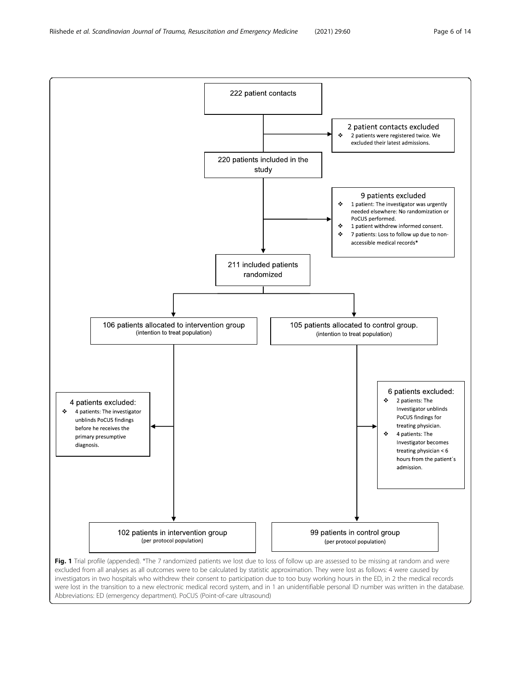<span id="page-5-0"></span>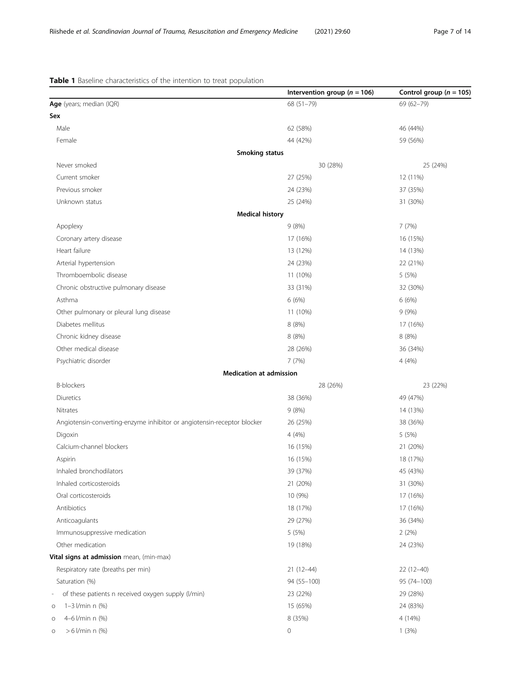## <span id="page-6-0"></span>Table 1 Baseline characteristics of the intention to treat population

|                                                                                    | Intervention group ( $n = 106$ ) | Control group ( $n = 105$ ) |
|------------------------------------------------------------------------------------|----------------------------------|-----------------------------|
| Age (years; median (IQR)                                                           | 68 (51-79)                       | 69 (62-79)                  |
| Sex                                                                                |                                  |                             |
| Male                                                                               | 62 (58%)                         | 46 (44%)                    |
| Female                                                                             | 44 (42%)                         | 59 (56%)                    |
| <b>Smoking status</b>                                                              |                                  |                             |
| Never smoked                                                                       | 30 (28%)                         | 25 (24%)                    |
| Current smoker                                                                     | 27 (25%)                         | 12 (11%)                    |
| Previous smoker                                                                    | 24 (23%)                         | 37 (35%)                    |
| Unknown status                                                                     | 25 (24%)                         | 31 (30%)                    |
| <b>Medical history</b>                                                             |                                  |                             |
| Apoplexy                                                                           | 9(8%)                            | 7(7%)                       |
| Coronary artery disease                                                            | 17 (16%)                         | 16 (15%)                    |
| Heart failure                                                                      | 13 (12%)                         | 14 (13%)                    |
| Arterial hypertension                                                              | 24 (23%)                         | 22 (21%)                    |
| Thromboembolic disease                                                             | 11 (10%)                         | 5 (5%)                      |
| Chronic obstructive pulmonary disease                                              | 33 (31%)                         | 32 (30%)                    |
| Asthma                                                                             | 6(6%)                            | 6(6%)                       |
| Other pulmonary or pleural lung disease                                            | 11 (10%)                         | 9(9%)                       |
| Diabetes mellitus                                                                  | 8 (8%)                           | 17 (16%)                    |
| Chronic kidney disease                                                             | 8(8%)                            | 8 (8%)                      |
| Other medical disease                                                              | 28 (26%)                         | 36 (34%)                    |
| Psychiatric disorder                                                               | 7 (7%)                           | 4(4%)                       |
| <b>Medication at admission</b>                                                     |                                  |                             |
| <b>B-blockers</b>                                                                  | 28 (26%)                         | 23 (22%)                    |
| Diuretics                                                                          | 38 (36%)                         | 49 (47%)                    |
| Nitrates                                                                           | 9(8%)                            | 14 (13%)                    |
| Angiotensin-converting-enzyme inhibitor or angiotensin-receptor blocker            | 26 (25%)                         | 38 (36%)                    |
| Digoxin                                                                            | 4(4%)                            | 5 (5%)                      |
| Calcium-channel blockers                                                           | 16 (15%)                         | 21 (20%)                    |
| Aspirin                                                                            | 16 (15%)                         | 18 (17%)                    |
| Inhaled bronchodilators                                                            | 39 (37%)                         | 45 (43%)                    |
| Inhaled corticosteroids                                                            | 21 (20%)                         | 31 (30%)                    |
| Oral corticosteroids                                                               | 10 (9%)                          | 17 (16%)                    |
| Antibiotics                                                                        | 18 (17%)                         | 17 (16%)                    |
| Anticoagulants                                                                     | 29 (27%)                         | 36 (34%)                    |
| Immunosuppressive medication                                                       | 5(5%)                            | 2(2%)                       |
| Other medication                                                                   | 19 (18%)                         | 24 (23%)                    |
| Vital signs at admission mean, (min-max)                                           |                                  |                             |
| Respiratory rate (breaths per min)                                                 | $21(12-44)$                      | $22(12-40)$                 |
| Saturation (%)                                                                     | 94 (55-100)                      | 95 (74-100)                 |
| of these patients n received oxygen supply (I/min)<br>$\qquad \qquad \blacksquare$ | 23 (22%)                         | 29 (28%)                    |
| $1 - 3$ $1/min \ n$ (%)<br>O                                                       | 15 (65%)                         | 24 (83%)                    |
| 4-6 l/min n (%)<br>O                                                               | 8 (35%)                          | 4 (14%)                     |
| $> 6$ l/min n $(\%)$<br>$\circ$                                                    | 0                                | 1(3%)                       |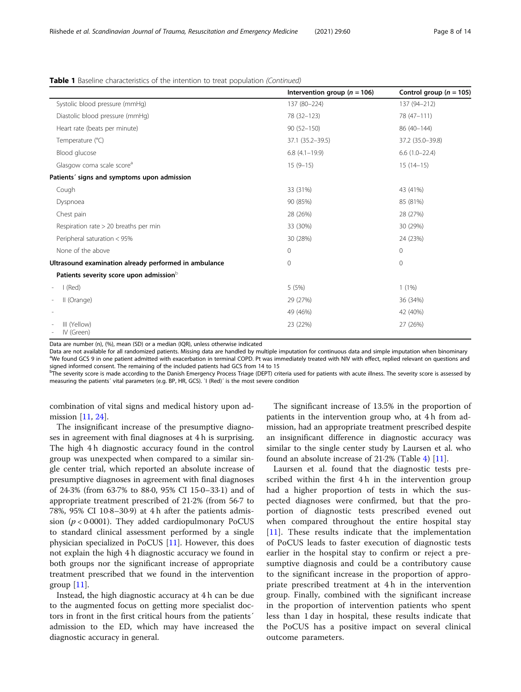|  | Table 1 Baseline characteristics of the intention to treat population (Continued) |  |  |  |
|--|-----------------------------------------------------------------------------------|--|--|--|
|  |                                                                                   |  |  |  |

|                                                       | Intervention group ( $n = 106$ ) | Control group ( $n = 105$ ) |
|-------------------------------------------------------|----------------------------------|-----------------------------|
| Systolic blood pressure (mmHq)                        | 137 (80-224)                     | 137 (94-212)                |
| Diastolic blood pressure (mmHq)                       | 78 (32-123)                      | 78 (47-111)                 |
| Heart rate (beats per minute)                         | $90(52 - 150)$                   | 86 (40-144)                 |
| Temperature (°C)                                      | 37.1 (35.2-39.5)                 | 37.2 (35.0-39.8)            |
| Blood glucose                                         | $6.8(4.1-19.9)$                  | $6.6(1.0-22.4)$             |
| Glasgow coma scale score <sup>a</sup>                 | $15(9-15)$                       | $15(14-15)$                 |
| Patients' signs and symptoms upon admission           |                                  |                             |
| Cough                                                 | 33 (31%)                         | 43 (41%)                    |
| Dyspnoea                                              | 90 (85%)                         | 85 (81%)                    |
| Chest pain                                            | 28 (26%)                         | 28 (27%)                    |
| Respiration rate > 20 breaths per min                 | 33 (30%)                         | 30 (29%)                    |
| Peripheral saturation < 95%                           | 30 (28%)                         | 24 (23%)                    |
| None of the above                                     | $\mathbf{0}$                     | $\mathbf 0$                 |
| Ultrasound examination already performed in ambulance | $\mathbf{0}$                     | $\mathbf 0$                 |
| Patients severity score upon admission <sup>b</sup>   |                                  |                             |
| I (Red)                                               | 5 (5%)                           | $1(1\%)$                    |
| II (Orange)                                           | 29 (27%)                         | 36 (34%)                    |
|                                                       | 49 (46%)                         | 42 (40%)                    |
| III (Yellow)<br>IV (Green)                            | 23 (22%)                         | 27 (26%)                    |

Data are number (n), (%), mean (SD) or a median (IQR), unless otherwise indicated

Data are not available for all randomized patients. Missing data are handled by multiple imputation for continuous data and simple imputation when binominary <sup>a</sup> <sup>a</sup>We found GCS 9 in one patient admitted with exacerbation in terminal COPD. Pt was immediately treated with NIV with effect, replied relevant on questions and signed informed consent. The remaining of the included patients had GCS from 14 to 15

bThe severity score is made according to the Danish Emergency Process Triage (DEPT) criteria used for patients with acute illness. The severity score is assessed by measuring the patients´ vital parameters (e.g. BP, HR, GCS). `I (Red)´ is the most severe condition

combination of vital signs and medical history upon ad-mission [\[11](#page-13-0), [24\]](#page-13-0).

The insignificant increase of the presumptive diagnoses in agreement with final diagnoses at 4 h is surprising. The high 4 h diagnostic accuracy found in the control group was unexpected when compared to a similar single center trial, which reported an absolute increase of presumptive diagnoses in agreement with final diagnoses of 24·3% (from 63·7% to 88·0, 95% CI 15·0–33·1) and of appropriate treatment prescribed of 21·2% (from 56·7 to 78%, 95% CI 10·8–30·9) at 4 h after the patients admission ( $p < 0.0001$ ). They added cardiopulmonary PoCUS to standard clinical assessment performed by a single physician specialized in PoCUS [[11\]](#page-13-0). However, this does not explain the high 4 h diagnostic accuracy we found in both groups nor the significant increase of appropriate treatment prescribed that we found in the intervention group  $[11]$  $[11]$ .

Instead, the high diagnostic accuracy at 4 h can be due to the augmented focus on getting more specialist doctors in front in the first critical hours from the patients´ admission to the ED, which may have increased the diagnostic accuracy in general.

The significant increase of 13.5% in the proportion of patients in the intervention group who, at 4 h from admission, had an appropriate treatment prescribed despite an insignificant difference in diagnostic accuracy was similar to the single center study by Laursen et al. who found an absolute increase of 21·2% (Table [4\)](#page-10-0) [[11\]](#page-13-0).

Laursen et al. found that the diagnostic tests prescribed within the first 4 h in the intervention group had a higher proportion of tests in which the suspected diagnoses were confirmed, but that the proportion of diagnostic tests prescribed evened out when compared throughout the entire hospital stay [[11\]](#page-13-0). These results indicate that the implementation of PoCUS leads to faster execution of diagnostic tests earlier in the hospital stay to confirm or reject a presumptive diagnosis and could be a contributory cause to the significant increase in the proportion of appropriate prescribed treatment at 4 h in the intervention group. Finally, combined with the significant increase in the proportion of intervention patients who spent less than 1 day in hospital, these results indicate that the PoCUS has a positive impact on several clinical outcome parameters.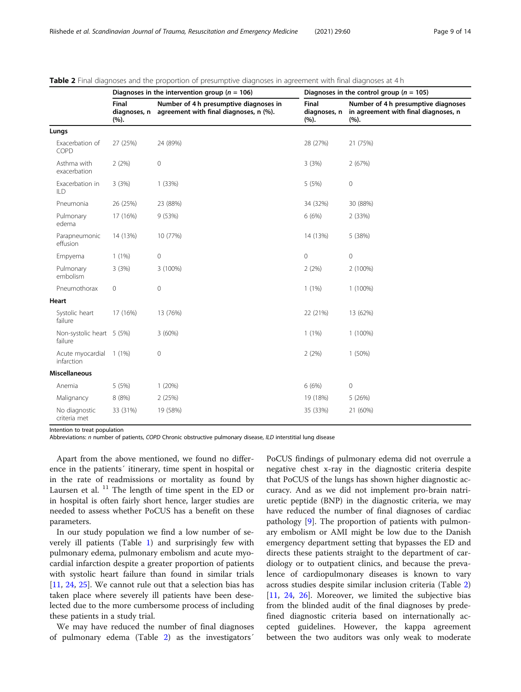|                                      |                               | Diagnoses in the intervention group ( $n = 106$ )                                | Diagnoses in the control group ( $n = 105$ ) |                                                                                     |  |  |
|--------------------------------------|-------------------------------|----------------------------------------------------------------------------------|----------------------------------------------|-------------------------------------------------------------------------------------|--|--|
|                                      | Final<br>diagnoses, n<br>(%). | Number of 4 h presumptive diagnoses in<br>agreement with final diagnoses, n (%). | Final<br>diagnoses, n<br>(%).                | Number of 4 h presumptive diagnoses<br>in agreement with final diagnoses, n<br>(%). |  |  |
| Lungs                                |                               |                                                                                  |                                              |                                                                                     |  |  |
| Exacerbation of<br>COPD              | 27 (25%)                      | 24 (89%)                                                                         | 28 (27%)                                     | 21 (75%)                                                                            |  |  |
| Asthma with<br>exacerbation          | 2(2%)                         | $\mathbf 0$                                                                      | 3(3%)                                        | 2(67%)                                                                              |  |  |
| Exacerbation in<br>ILD               | 3(3%)                         | 1(33%)                                                                           | 5 (5%)                                       | 0                                                                                   |  |  |
| Pneumonia                            | 26 (25%)                      | 23 (88%)                                                                         | 34 (32%)                                     | 30 (88%)                                                                            |  |  |
| Pulmonary<br>edema                   | 17 (16%)                      | 9(53%)                                                                           | 6 (6%)                                       | 2 (33%)                                                                             |  |  |
| Parapneumonic<br>effusion            | 14 (13%)                      | 10 (77%)                                                                         | 14 (13%)                                     | 5 (38%)                                                                             |  |  |
| Empyema                              | $1(1\%)$                      | $\mathbf 0$                                                                      | 0                                            | 0                                                                                   |  |  |
| Pulmonary<br>embolism                | 3(3%)                         | 3 (100%)                                                                         | 2(2%)                                        | 2 (100%)                                                                            |  |  |
| Pneumothorax                         | 0                             | $\mathbf 0$                                                                      | $1(1\%)$                                     | 1 (100%)                                                                            |  |  |
| Heart                                |                               |                                                                                  |                                              |                                                                                     |  |  |
| Systolic heart<br>failure            | 17 (16%)                      | 13 (76%)                                                                         | 22 (21%)                                     | 13 (62%)                                                                            |  |  |
| Non-systolic heart 5 (5%)<br>failure |                               | 3(60%)                                                                           | $1(1\%)$                                     | 1 (100%)                                                                            |  |  |
| Acute myocardial<br>infarction       | 1 (1%)                        | $\mathbf 0$                                                                      | 2(2%)                                        | 1 (50%)                                                                             |  |  |
| <b>Miscellaneous</b>                 |                               |                                                                                  |                                              |                                                                                     |  |  |
| Anemia                               | 5 (5%)                        | 1(20%)                                                                           | 6(6%)                                        | $\mathbf 0$                                                                         |  |  |
| Malignancy                           | 8 (8%)                        | 2(25%)                                                                           | 19 (18%)                                     | 5 (26%)                                                                             |  |  |
| No diagnostic<br>criteria met        | 33 (31%)                      | 19 (58%)                                                                         | 35 (33%)                                     | 21 (60%)                                                                            |  |  |

<span id="page-8-0"></span>Table 2 Final diagnoses and the proportion of presumptive diagnoses in agreement with final diagnoses at 4 h

Intention to treat population

Abbreviations: n number of patients, COPD Chronic obstructive pulmonary disease, ILD interstitial lung disease

Apart from the above mentioned, we found no difference in the patients´ itinerary, time spent in hospital or in the rate of readmissions or mortality as found by Laursen et al.  $11$  The length of time spent in the ED or in hospital is often fairly short hence, larger studies are needed to assess whether PoCUS has a benefit on these parameters.

In our study population we find a low number of severely ill patients (Table [1](#page-6-0)) and surprisingly few with pulmonary edema, pulmonary embolism and acute myocardial infarction despite a greater proportion of patients with systolic heart failure than found in similar trials [[11,](#page-13-0) [24,](#page-13-0) [25\]](#page-13-0). We cannot rule out that a selection bias has taken place where severely ill patients have been deselected due to the more cumbersome process of including these patients in a study trial.

We may have reduced the number of final diagnoses of pulmonary edema (Table 2) as the investigators´

PoCUS findings of pulmonary edema did not overrule a negative chest x-ray in the diagnostic criteria despite that PoCUS of the lungs has shown higher diagnostic accuracy. And as we did not implement pro-brain natriuretic peptide (BNP) in the diagnostic criteria, we may have reduced the number of final diagnoses of cardiac pathology [[9\]](#page-13-0). The proportion of patients with pulmonary embolism or AMI might be low due to the Danish emergency department setting that bypasses the ED and directs these patients straight to the department of cardiology or to outpatient clinics, and because the prevalence of cardiopulmonary diseases is known to vary across studies despite similar inclusion criteria (Table 2) [[11,](#page-13-0) [24,](#page-13-0) [26\]](#page-13-0). Moreover, we limited the subjective bias from the blinded audit of the final diagnoses by predefined diagnostic criteria based on internationally accepted guidelines. However, the kappa agreement between the two auditors was only weak to moderate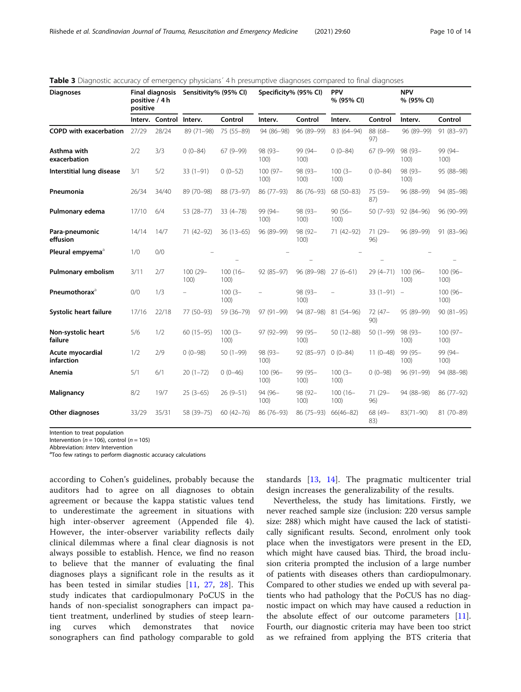| <b>Final diagnosis</b><br>Sensitivity% (95% CI)<br><b>Diagnoses</b><br>positive / 4 h<br>positive |       | Specificity% (95% CI)   |                    | <b>PPV</b><br>% (95% CI) |                  | <b>NPV</b><br>% (95% CI) |                    |                  |                  |                  |
|---------------------------------------------------------------------------------------------------|-------|-------------------------|--------------------|--------------------------|------------------|--------------------------|--------------------|------------------|------------------|------------------|
|                                                                                                   |       | Interv. Control Interv. |                    | Control                  | Interv.          | Control                  | Interv.            | Control          | Interv.          | Control          |
| <b>COPD with exacerbation</b>                                                                     | 27/29 | 28/24                   | 89 (71-98)         | 75 (55-89)               | 94 (86-98)       | 96 (89-99)               | 83 (64-94)         | 88 (68-<br>97)   | 96 (89-99)       | $91(83-97)$      |
| Asthma with<br>exacerbation                                                                       | 2/2   | 3/3                     | $0(0-84)$          | $67(9-99)$               | 98 (93-<br>100)  | 99 (94-<br>100)          | $0(0-84)$          | $67(9-99)$       | 98 (93-<br>100)  | 99 (94-<br>100)  |
| Interstitial lung disease                                                                         | 3/1   | 5/2                     | $33(1-91)$         | $0(0-52)$                | 100 (97-<br>100) | 98 (93-<br>100)          | $100(3 -$<br>100)  | $0(0-84)$        | 98 (93-<br>100)  | 95 (88-98)       |
| Pneumonia                                                                                         | 26/34 | 34/40                   | 89 (70-98)         | 88 (73-97)               | 86 (77-93)       | 86 (76-93)               | 68 (50-83)         | 75 (59-<br>87)   | 96 (88-99)       | 94 (85-98)       |
| Pulmonary edema                                                                                   | 17/10 | 6/4                     | 53 (28-77)         | $33(4 - 78)$             | 99 (94-<br>100)  | 98 (93-<br>100)          | $90(56 -$<br>100)  | $50(7-93)$       | 92 (84-96)       | 96 (90-99)       |
| Para-pneumonic<br>effusion                                                                        | 14/14 | 14/7                    | 71 (42-92)         | $36(13-65)$              | 96 (89-99)       | 98 (92-<br>100)          | 71 (42-92)         | 71 (29-<br>96)   | 96 (89-99)       | $91(83 - 96)$    |
| Pleural empyema <sup>a</sup>                                                                      | 1/0   | 0/0                     |                    |                          |                  |                          |                    |                  |                  |                  |
| Pulmonary embolism                                                                                | 3/11  | 2/7                     | $100(29 -$<br>100) | $100(16 -$<br>100)       | 92 (85-97)       | 96 (89-98)               | $27(6-61)$         | $29(4 - 71)$     | 100 (96-<br>100) | 100 (96-<br>100) |
| Pneumothorax <sup>a</sup>                                                                         | 0/0   | 1/3                     | -                  | $100(3 -$<br>100)        |                  | 98 (93-<br>100)          |                    | $33(1-91) -$     |                  | 100 (96-<br>100) |
| Systolic heart failure                                                                            | 17/16 | 22/18                   | 77 (50-93)         | 59 (36-79)               | 97 (91-99)       | 94 (87-98)               | 81 (54-96)         | $72(47 -$<br>90) | 95 (89-99)       | $90(81-95)$      |
| Non-systolic heart<br>failure                                                                     | 5/6   | 1/2                     | $60(15-95)$        | $100(3 -$<br>100)        | 97 (92-99)       | 99 (95-<br>100)          | $50(12 - 88)$      | $50(1-99)$       | 98 (93-<br>100)  | 100 (97-<br>100) |
| Acute myocardial<br>infarction                                                                    | 1/2   | 2/9                     | $0(0-98)$          | $50(1-99)$               | 98 (93-<br>100)  | 92 (85-97)               | $0(0-84)$          | $11(0-48)$       | 99 (95-<br>100)  | 99 (94-<br>100)  |
| Anemia                                                                                            | 5/1   | 6/1                     | $20(1-72)$         | $0(0-46)$                | 100 (96-<br>100) | 99 (95-<br>100)          | $100(3 -$<br>100)  | $0(0-98)$        | 96 (91-99)       | 94 (88-98)       |
| Malignancy                                                                                        | 8/2   | 19/7                    | $25(3-65)$         | $26(9 - 51)$             | 94 (96-<br>100)  | 98 (92-<br>100)          | $100(16 -$<br>100) | 71 (29-<br>96)   | 94 (88-98)       | 86 (77-92)       |
| Other diagnoses                                                                                   | 33/29 | 35/31                   | 58 (39-75)         | $60(42 - 76)$            | 86 (76-93)       | 86 (75-93)               | $66(46 - 82)$      | 68 (49-<br>83)   | $83(71 - 90)$    | 81 (70-89)       |

<span id="page-9-0"></span>**Table 3** Diagnostic accuracy of emergency physicians<sup>'</sup> 4 h presumptive diagnoses compared to final diagnoses

Intention to treat population

Intervention ( $n = 106$ ), control ( $n = 105$ ) Abbreviation: Interv Intervention

<sup>a</sup>Too few ratings to perform diagnostic accuracy calculations

according to Cohen's guidelines, probably because the auditors had to agree on all diagnoses to obtain agreement or because the kappa statistic values tend to underestimate the agreement in situations with high inter-observer agreement (Appended file 4). However, the inter-observer variability reflects daily clinical dilemmas where a final clear diagnosis is not always possible to establish. Hence, we find no reason to believe that the manner of evaluating the final diagnoses plays a significant role in the results as it has been tested in similar studies [[11,](#page-13-0) [27](#page-13-0), [28](#page-13-0)]. This study indicates that cardiopulmonary PoCUS in the hands of non-specialist sonographers can impact patient treatment, underlined by studies of steep learning curves which demonstrates that novice sonographers can find pathology comparable to gold

standards [[13,](#page-13-0) [14](#page-13-0)]. The pragmatic multicenter trial design increases the generalizability of the results.

Nevertheless, the study has limitations. Firstly, we never reached sample size (inclusion: 220 versus sample size: 288) which might have caused the lack of statistically significant results. Second, enrolment only took place when the investigators were present in the ED, which might have caused bias. Third, the broad inclusion criteria prompted the inclusion of a large number of patients with diseases others than cardiopulmonary. Compared to other studies we ended up with several patients who had pathology that the PoCUS has no diagnostic impact on which may have caused a reduction in the absolute effect of our outcome parameters [\[11](#page-13-0)]. Fourth, our diagnostic criteria may have been too strict as we refrained from applying the BTS criteria that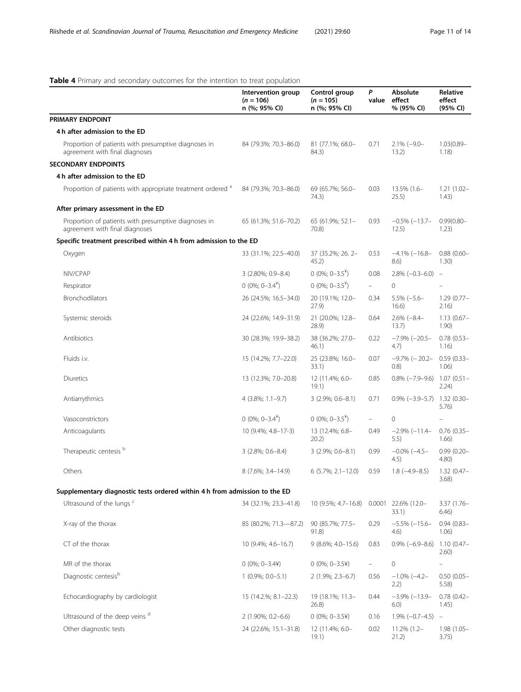## <span id="page-10-0"></span>Table 4 Primary and secondary outcomes for the intention to treat population

|                                                                                        | Intervention group<br>$(n = 106)$<br>n (%; 95% CI) | Control group<br>$(n = 105)$<br>n (%; 95% CI) | P<br>value | Absolute<br>effect<br>% (95% CI) | Relative<br>effect<br>(95% CI) |
|----------------------------------------------------------------------------------------|----------------------------------------------------|-----------------------------------------------|------------|----------------------------------|--------------------------------|
| PRIMARY ENDPOINT                                                                       |                                                    |                                               |            |                                  |                                |
| 4 h after admission to the ED                                                          |                                                    |                                               |            |                                  |                                |
| Proportion of patients with presumptive diagnoses in<br>agreement with final diagnoses | 84 (79.3%; 70.3-86.0)                              | 81 (77.1%; 68.0-<br>84.3)                     | 0.71       | $2.1\% (-9.0 -$<br>13.2)         | $1.03(0.89 -$<br>1.18)         |
| <b>SECONDARY ENDPOINTS</b>                                                             |                                                    |                                               |            |                                  |                                |
| 4 h after admission to the ED                                                          |                                                    |                                               |            |                                  |                                |
| Proportion of patients with appropriate treatment ordered <sup>a</sup>                 | 84 (79.3%; 70.3-86.0)                              | 69 (65.7%; 56.0-<br>74.3)                     | 0.03       | 13.5% (1.6-<br>25.5)             | $1.21(1.02 -$<br>1.43)         |
| After primary assessment in the ED                                                     |                                                    |                                               |            |                                  |                                |
| Proportion of patients with presumptive diagnoses in<br>agreement with final diagnoses | 65 (61.3%; 51.6-70.2)                              | 65 (61.9%; 52.1-<br>70.8)                     | 0.93       | $-0.5\%$ ( $-13.7-$<br>12.5)     | $0.99(0.80 -$<br>1.23)         |
| Specific treatment prescribed within 4 h from admission to the ED                      |                                                    |                                               |            |                                  |                                |
| Oxygen                                                                                 | 33 (31.1%; 22.5-40.0)                              | 37 (35.2%; 26.2-<br>45.2)                     | 0.53       | $-4.1\%$ ( $-16.8-$<br>8.6)      | $0.88(0.60 -$<br>1.30)         |
| NIV/CPAP                                                                               | 3 (2.80%; 0.9-8.4)                                 | 0 (0%; $0-3.5^{\frac{1}{2}}$ )                | 0.08       | $2.8\%$ (-0.3-6.0) -             |                                |
| Respirator                                                                             | $0(0\%; 0-3.4^*)$                                  | $0(0\%; 0-3.5^*)$                             | $\equiv$ . | $\circ$                          |                                |
| <b>Bronchodilators</b>                                                                 | 26 (24.5%; 16.5-34.0)                              | 20 (19.1%; 12.0-<br>27.9)                     | 0.34       | $5.5\% (-5.6 -$<br>16.6)         | $1.29(0.77-$<br>2.16)          |
| Systemic steroids                                                                      | 24 (22.6%; 14.9-31.9)                              | 21 (20.0%; 12.8-<br>28.9)                     | 0.64       | $2.6\%$ (-8.4-<br>13.7)          | $1.13(0.67 -$<br>1.90)         |
| Antibiotics                                                                            | 30 (28.3%; 19.9-38.2)                              | 38 (36.2%; 27.0-<br>46.1)                     | 0.22       | $-7.9\%$ ( $-20.5-$<br>4.7)      | $0.78$ $(0.53 -$<br>1.16)      |
| Fluids i.v.                                                                            | 15 (14.2%; 7.7-22.0)                               | 25 (23.8%; 16.0-<br>33.1)                     | 0.07       | -9.7% (- 20.2-<br>(0.8)          | $0.59(0.33 -$<br>1.06)         |
| Diuretics                                                                              | 13 (12.3%; 7.0-20.8)                               | 12 (11.4%; 6.0-<br>19.1)                      | 0.85       | $0.8\%$ (-7.9-9.6) 1.07 (0.51-   | 2.24)                          |
| Antiarrythmics                                                                         | 4 (3.8%; 1.1-9.7)                                  | $3(2.9\%; 0.6-8.1)$                           | 0.71       | $0.9\%$ (-3.9-5.7) 1.32 (0.30-   | 5.76)                          |
| Vasoconstrictors                                                                       | $0(0\%; 0-3.4^*)$                                  | $0(0\%; 0-3.5^*)$                             | $\equiv$   | $\mathbf 0$                      |                                |
| Anticoagulants                                                                         | 10 (9.4%; 4.8-17-3)                                | 13 (12.4%; 6.8-<br>20.2)                      | 0.49       | $-2.9\% (-11.4 -$<br>5.5)        | $0.76$ $(0.35 -$<br>1.66)      |
| Therapeutic centesis <sup>b</sup>                                                      | $3(2.8\%; 0.6-8.4)$                                | $3(2.9\%; 0.6-8.1)$                           | 0.99       | $-0.0\%$ ( $-4.5-$<br>4.5)       | $0.99(0.20 -$<br>4.80)         |
| Others                                                                                 | 8 (7.6%; 3.4-14.9)                                 | $6(5.7\%; 2.1-12.0)$                          | 0.59       | $1.8(-4.9-8.5)$                  | $1.32(0.47 -$<br>3.68)         |
| Supplementary diagnostic tests ordered within 4 h from admission to the ED             |                                                    |                                               |            |                                  |                                |
| Ultrasound of the lungs <sup>c</sup>                                                   | 34 (32.1%; 23.3-41.8)                              | 10 (9.5%; 4.7-16.8)                           | 0.0001     | 22.6% (12.0-<br>33.1)            | $3.37(1.76 -$<br>6.46)         |
| X-ray of the thorax                                                                    | 85 (80.2%; 71.3-87.2)                              | 90 (85.7%; 77.5-<br>91.8)                     | 0.29       | $-5.5\%$ $(-15.6-$<br>4.6)       | $0.94(0.83 -$<br>1.06)         |
| CT of the thorax                                                                       | 10 (9.4%; 4.6-16.7)                                | 9 (8.6%; 4.0-15.6)                            | 0.83       | $0.9\%$ (-6.9-8.6)               | $1.10(0.47 -$<br>2.60)         |
| MR of the thorax                                                                       | $0(0\%; 0-3.44)$                                   | $0(0\%; 0-3.5\%)$                             | $\equiv$   | 0                                | ÷                              |
| Diagnostic centesis <sup>b</sup>                                                       | $1(0.9\%; 0.0 - 5.1)$                              | 2 (1.9%; 2.3-6.7)                             | 0.56       | $-1.0\%$ ( $-4.2-$<br>2.2)       | $0.50(0.05 -$<br>5.58)         |
| Echocardiography by cardiologist                                                       | 15 (14.2.%; 8.1-22.3)                              | 19 (18.1%; 11.3-<br>26.8)                     | 0.44       | $-3.9\%$ $(-13.9-$<br>6.0)       | $0.78$ $(0.42 -$<br>1.45)      |
| Ultrasound of the deep veins d                                                         | 2 (1.90%; 0.2-6.6)                                 | $0(0\%; 0-3.54)$                              | 0.16       | $1.9\% (-0.7-4.5) -$             |                                |
| Other diagnostic tests                                                                 | 24 (22.6%; 15.1-31.8)                              | 12 (11.4%; 6.0-<br>19.1)                      | 0.02       | $11.2\%$ (1.2-<br>21.2)          | 1.98 (1.05-<br>3.75)           |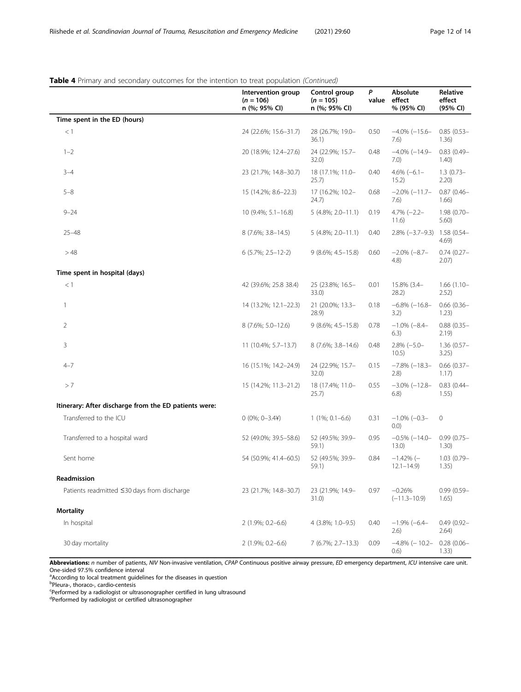## Table 4 Primary and secondary outcomes for the intention to treat population (Continued)

|                                                       | Intervention group<br>$(n = 106)$<br>n (%; 95% CI) | Control group<br>$(n = 105)$<br>n (%; 95% CI) | P<br>value | Absolute<br>effect<br>% (95% CI) | Relative<br>effect<br>(95% CI) |
|-------------------------------------------------------|----------------------------------------------------|-----------------------------------------------|------------|----------------------------------|--------------------------------|
| Time spent in the ED (hours)                          |                                                    |                                               |            |                                  |                                |
| $<$ 1                                                 | 24 (22.6%; 15.6-31.7)                              | 28 (26.7%; 19.0-<br>36.1)                     | 0.50       | $-4.0\%$ $(-15.6-$<br>7.6)       | $0.85(0.53 -$<br>1.36)         |
| $1 - 2$                                               | 20 (18.9%; 12.4-27.6)                              | 24 (22.9%; 15.7-<br>32.0)                     | 0.48       | $-4.0\%$ $(-14.9-$<br>7.0)       | $0.83(0.49 -$<br>1.40)         |
| $3 - 4$                                               | 23 (21.7%; 14.8-30.7)                              | 18 (17.1%; 11.0-<br>25.7)                     | 0.40       | $4.6\% (-6.1 -$<br>15.2)         | $1.3(0.73 -$<br>2.20)          |
| $5 - 8$                                               | 15 (14.2%; 8.6-22.3)                               | 17 (16.2%; 10.2-<br>24.7)                     | 0.68       | $-2.0\%$ ( $-11.7-$<br>7.6)      | $0.87(0.46 -$<br>1.66)         |
| $9 - 24$                                              | 10 (9.4%; 5.1-16.8)                                | $5(4.8\%; 2.0 - 11.1)$                        | 0.19       | $4.7\% (-2.2 -$<br>11.6)         | 1.98 (0.70-<br>5.60)           |
| $25 - 48$                                             | 8 (7.6%; 3.8-14.5)                                 | $5(4.8\%; 2.0 - 11.1)$                        | 0.40       | $2.8\% (-3.7-9.3)$               | 1.58 (0.54-<br>4.69)           |
| >48                                                   | $6(5.7\%; 2.5-12-2)$                               | $9(8.6\%; 4.5-15.8)$                          | 0.60       | $-2.0\%$ (-8.7-<br>(4.8)         | $0.74(0.27 -$<br>2.07)         |
| Time spent in hospital (days)                         |                                                    |                                               |            |                                  |                                |
| < 1                                                   | 42 (39.6%; 25.8 38.4)                              | 25 (23.8%; 16.5-<br>33.0)                     | 0.01       | 15.8% (3.4-<br>28.2)             | $1.66(1.10 -$<br>2.52)         |
| 1                                                     | 14 (13.2%; 12.1-22.3)                              | 21 (20.0%; 13.3-<br>28.9)                     | 0.18       | $-6.8\%$ ( $-16.8-$<br>3.2)      | $0.66(0.36 -$<br>1.23)         |
| $\overline{2}$                                        | 8 (7.6%; 5.0-12.6)                                 | 9 (8.6%; 4.5-15.8)                            | 0.78       | $-1.0\%$ (-8.4-<br>6.3)          | $0.88(0.35 -$<br>2.19)         |
| 3                                                     | $11(10.4\%; 5.7-13.7)$                             | 8 (7.6%; 3.8-14.6)                            | 0.48       | $2.8\% (-5.0 -$<br>10.5)         | $1.36(0.57 -$<br>3.25)         |
| $4 - 7$                                               | 16 (15.1%; 14.2-24.9)                              | 24 (22.9%; 15.7-<br>32.0)                     | 0.15       | $-7.8\%$ (-18.3-<br>(2.8)        | $0.66(0.37 -$<br>1.17)         |
| > 7                                                   | 15 (14.2%; 11.3-21.2)                              | 18 (17.4%; 11.0-<br>25.7)                     | 0.55       | $-3.0\%$ ( $-12.8-$<br>6.8)      | $0.83(0.44 -$<br>1.55)         |
| Itinerary: After discharge from the ED patients were: |                                                    |                                               |            |                                  |                                |
| Transferred to the ICU                                | $0(0\%; 0-3.44)$                                   | $1(1\%; 0.1-6.6)$                             | 0.31       | $-1.0\%$ (-0.3-<br>(0.0)         | $\mathbf 0$                    |
| Transferred to a hospital ward                        | 52 (49.0%; 39.5-58.6)                              | 52 (49.5%; 39.9-<br>59.1)                     | 0.95       | $-0.5\%$ (-14.0-<br>13.0)        | $0.99(0.75 -$<br>1.30)         |
| Sent home                                             | 54 (50.9%; 41.4-60.5)                              | 52 (49.5%; 39.9-<br>59.1)                     | 0.84       | $-1.42\%$ (-<br>$12.1 - 14.9$    | $1.03(0.79 -$<br>1.35)         |
| Readmission                                           |                                                    |                                               |            |                                  |                                |
| Patients readmitted ≤30 days from discharge           | 23 (21.7%; 14.8-30.7)                              | 23 (21.9%; 14.9-<br>31.0)                     | 0.97       | $-0.26%$<br>$(-11.3 - 10.9)$     | $0.99(0.59 -$<br>1.65)         |
| <b>Mortality</b>                                      |                                                    |                                               |            |                                  |                                |
| In hospital                                           | 2 (1.9%; 0.2-6.6)                                  | 4 (3.8%; 1.0-9.5)                             | 0.40       | $-1.9\%$ (-6.4-<br>(2.6)         | $0.49(0.92 -$<br>2.64)         |
| 30 day mortality                                      | 2 (1.9%; 0.2-6.6)                                  | 7 (6.7%; 2.7-13.3)                            | 0.09       | $-4.8\%$ (-10.2-<br>(0.6)        | $0.28(0.06 -$<br>1.33)         |

Abbreviations: n number of patients, NIV Non-invasive ventilation, CPAP Continuous positive airway pressure, ED emergency department, ICU intensive care unit. One-sided 97.5% confidence interval

<sup>a</sup>According to local treatment guidelines for the diseases in question<br><sup>b</sup>Pleura-, thoraco-, cardio-centesis

Performed by a radiologist or ultrasonographer certified in lung ultrasound

dPerformed by radiologist or certified ultrasonographer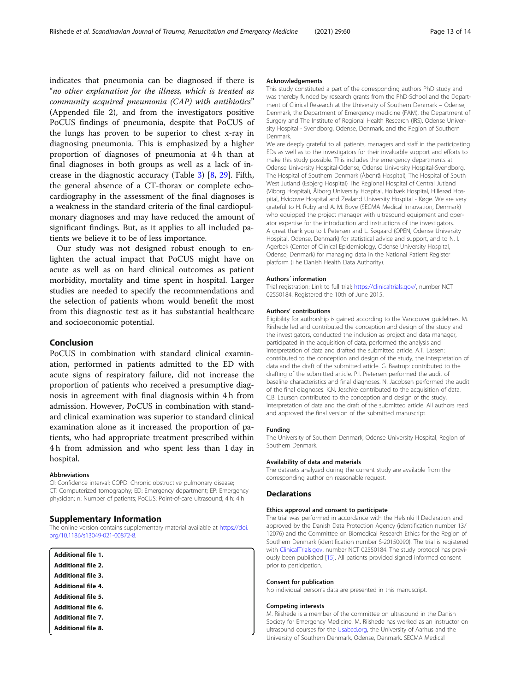indicates that pneumonia can be diagnosed if there is "no other explanation for the illness, which is treated as community acquired pneumonia (CAP) with antibiotics" (Appended file 2), and from the investigators positive PoCUS findings of pneumonia, despite that PoCUS of the lungs has proven to be superior to chest x-ray in diagnosing pneumonia. This is emphasized by a higher proportion of diagnoses of pneumonia at 4 h than at final diagnoses in both groups as well as a lack of increase in the diagnostic accuracy (Table [3\)](#page-9-0) [\[8](#page-13-0), [29\]](#page-13-0). Fifth, the general absence of a CT-thorax or complete echocardiography in the assessment of the final diagnoses is a weakness in the standard criteria of the final cardiopulmonary diagnoses and may have reduced the amount of significant findings. But, as it applies to all included patients we believe it to be of less importance.

Our study was not designed robust enough to enlighten the actual impact that PoCUS might have on acute as well as on hard clinical outcomes as patient morbidity, mortality and time spent in hospital. Larger studies are needed to specify the recommendations and the selection of patients whom would benefit the most from this diagnostic test as it has substantial healthcare and socioeconomic potential.

## Conclusion

PoCUS in combination with standard clinical examination, performed in patients admitted to the ED with acute signs of respiratory failure, did not increase the proportion of patients who received a presumptive diagnosis in agreement with final diagnosis within 4 h from admission. However, PoCUS in combination with standard clinical examination was superior to standard clinical examination alone as it increased the proportion of patients, who had appropriate treatment prescribed within 4 h from admission and who spent less than 1 day in hospital.

#### Abbreviations

CI: Confidence interval; COPD: Chronic obstructive pulmonary disease; CT: Computerized tomography; ED: Emergency department; EP: Emergency physician; n: Number of patients; PoCUS: Point-of-care ultrasound; 4 h: 4 h

## Supplementary Information

The online version contains supplementary material available at [https://doi.](https://doi.org/10.1186/s13049-021-00872-8) [org/10.1186/s13049-021-00872-8.](https://doi.org/10.1186/s13049-021-00872-8)

| <b>Additional file 1.</b> |  |  |
|---------------------------|--|--|
| <b>Additional file 2.</b> |  |  |
| <b>Additional file 3.</b> |  |  |
| <b>Additional file 4.</b> |  |  |
| <b>Additional file 5.</b> |  |  |
| <b>Additional file 6.</b> |  |  |
| <b>Additional file 7.</b> |  |  |
| <b>Additional file 8.</b> |  |  |

#### Acknowledgements

This study constituted a part of the corresponding authors PhD study and was thereby funded by research grants from the PhD-School and the Department of Clinical Research at the University of Southern Denmark – Odense, Denmark, the Department of Emergency medicine (FAM), the Department of Surgery and The Institute of Regional Health Research (IRS), Odense University Hospital - Svendborg, Odense, Denmark, and the Region of Southern Denmark.

We are deeply grateful to all patients, managers and staff in the participating EDs as well as to the investigators for their invaluable support and efforts to make this study possible. This includes the emergency departments at Odense University Hospital-Odense, Odense University Hospital-Svendborg, The Hospital of Southern Denmark (Åbenrå Hospital), The Hospital of South West Jutland (Esbjerg Hospital) The Regional Hospital of Central Jutland (Viborg Hospital), Ålborg University Hospital, Holbæk Hospital, Hillerød Hospital, Hvidovre Hospital and Zealand University Hospital - Køge. We are very grateful to H. Ruby and A. M. Bove (SECMA Medical Innovation, Denmark) who equipped the project manager with ultrasound equipment and operator expertise for the introduction and instructions of the investigators. A great thank you to I. Petersen and L. Søgaard (OPEN, Odense University Hospital, Odense, Denmark) for statistical advice and support, and to N. I. Agerbek (Center of Clinical Epidemiology, Odense University Hospital, Odense, Denmark) for managing data in the National Patient Register platform (The Danish Health Data Authority).

#### Authors´ information

Trial registration: Link to full trial; [https://clinicaltrials.gov/,](https://clinicaltrials.gov/) number NCT 02550184. Registered the 10th of June 2015.

#### Authors' contributions

Eligibility for authorship is gained according to the Vancouver guidelines. M. Riishede led and contributed the conception and design of the study and the investigators, conducted the inclusion as project and data manager, participated in the acquisition of data, performed the analysis and interpretation of data and drafted the submitted article. A.T. Lassen: contributed to the conception and design of the study, the interpretation of data and the draft of the submitted article. G. Baatrup: contributed to the drafting of the submitted article. P.I. Pietersen performed the audit of baseline characteristics and final diagnoses. N. Jacobsen performed the audit of the final diagnoses. K.N. Jeschke contributed to the acquisition of data. C.B. Laursen contributed to the conception and design of the study, interpretation of data and the draft of the submitted article. All authors read and approved the final version of the submitted manuscript.

#### Funding

The University of Southern Denmark, Odense University Hospital, Region of Southern Denmark.

#### Availability of data and materials

The datasets analyzed during the current study are available from the corresponding author on reasonable request.

## **Declarations**

### Ethics approval and consent to participate

The trial was performed in accordance with the Helsinki II Declaration and approved by the Danish Data Protection Agency (identification number 13/ 12076) and the Committee on Biomedical Research Ethics for the Region of Southern Denmark (identification number S-20150090). The trial is registered with [ClinicalTrials.gov,](http://clinicaltrials.gov) number NCT 02550184. The study protocol has previously been published [[15\]](#page-13-0). All patients provided signed informed consent prior to participation.

#### Consent for publication

No individual person's data are presented in this manuscript.

#### Competing interests

M. Riishede is a member of the committee on ultrasound in the Danish Society for Emergency Medicine. M. Riishede has worked as an instructor on ultrasound courses for the [Usabcd.org,](http://usabcd.org) the University of Aarhus and the University of Southern Denmark, Odense, Denmark. SECMA Medical